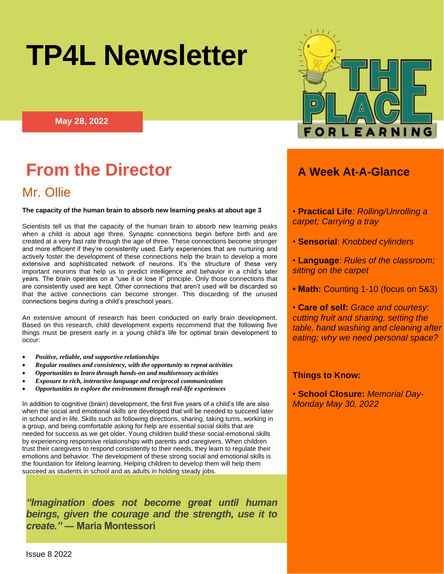# **TP4L Newsletter**

**May 28, 2022**

## **From the Director** *A Week At-A-Glance*

### Mr. Ollie

#### **The capacity of the human brain to absorb new learning peaks at about age 3**

Scientists tell us that the capacity of the human brain to absorb new learning peaks when a child is about age three. Synaptic connections begin before birth and are created at a very fast rate through the age of three. These connections become stronger and more efficient if they're consistently used. Early experiences that are nurturing and actively foster the development of these connections help the brain to develop a more extensive and sophisticated network of neurons. It's the structure of these very important neurons that help us to predict intelligence and behavior in a child's later years. The brain operates on a "use it or lose it" principle. Only those connections that are consistently used are kept. Other connections that aren't used will be discarded so that the active connections can become stronger. This discarding of the unused connections begins during a child's preschool years.

An extensive amount of research has been conducted on early brain development. Based on this research, child development experts recommend that the following five things must be present early in a young child's life for optimal brain development to occur:

- *Positive, reliable, and supportive relationships*
- *Regular routines and consistency, with the opportunity to repeat activities*
- *Opportunities to learn through hands-on and multisensory activities*
- *Exposure to rich, interactive language and reciprocal communication*
- *Opportunities to explore the environment through real-life experiences*

In addition to cognitive (brain) development, the first five years of a child's life are also when the social and emotional skills are developed that will be needed to succeed later in school and in life. Skills such as following directions, sharing, taking turns, working in a group, and being comfortable asking for help are essential social skills that are needed for success as we get older. Young children build these social-emotional skills by experiencing responsive relationships with parents and caregivers. When children trust their caregivers to respond consistently to their needs, they learn to regulate their emotions and behavior. The development of these strong social and emotional skills is the foundation for lifelong learning. Helping children to develop them will help them succeed as students in school and as adults in holding steady jobs.

*"Imagination does not become great until human beings, given the courage and the strength, use it to create."* **― Maria Montessori**



- **Practical Life**: *Rolling/Unrolling a carpet; Carrying a tray*
- **Sensorial**: *Knobbed cylinders*
- **Language**: *Rules of the classroom; sitting on the carpet*
- **Math:** Counting 1-10 (focus on 5&3)

• **Care of self:** *Grace and courtesy: cutting fruit and sharing, setting the table, hand washing and cleaning after eating; why we need personal space?*

#### **Things to Know:**

• **School Closure:** *Memorial Day-Monday May 30, 2022*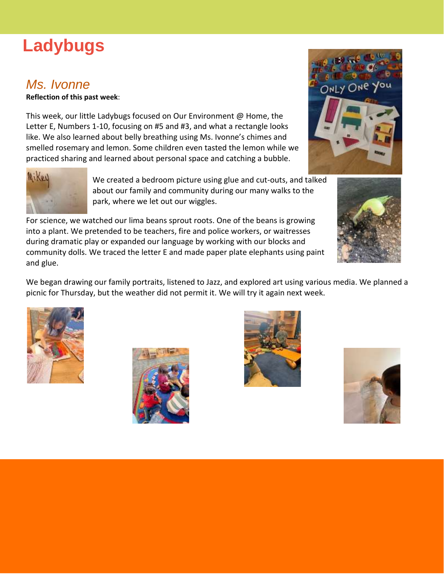## **Ladybugs**

## *Ms. Ivonne*

**Reflection of this past week**:

This week, our little Ladybugs focused on Our Environment @ Home, the Letter E, Numbers 1-10, focusing on #5 and #3, and what a rectangle looks like. We also learned about belly breathing using Ms. Ivonne's chimes and smelled rosemary and lemon. Some children even tasted the lemon while we practiced sharing and learned about personal space and catching a bubble.



We created a bedroom picture using glue and cut-outs, and talked about our family and community during our many walks to the park, where we let out our wiggles.

For science, we watched our lima beans sprout roots. One of the beans is growing into a plant. We pretended to be teachers, fire and police workers, or waitresses during dramatic play or expanded our language by working with our blocks and community dolls. We traced the letter E and made paper plate elephants using paint and glue.

We began drawing our family portraits, listened to Jazz, and explored art using various media. We planned a picnic for Thursday, but the weather did not permit it. We will try it again next week.











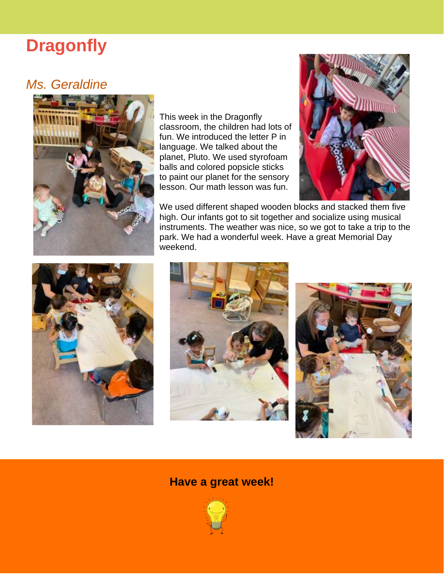## **Dragonfly**

## *Ms. Geraldine*



This week in the Dragonfly classroom, the children had lots of fun. We introduced the letter P in language. We talked about the planet, Pluto. We used styrofoam balls and colored popsicle sticks to paint our planet for the sensory lesson. Our math lesson was fun.



We used different shaped wooden blocks and stacked them five high. Our infants got to sit together and socialize using musical instruments. The weather was nice, so we got to take a trip to the park. We had a wonderful week. Have a great Memorial Day weekend.







#### **Have a great week!**